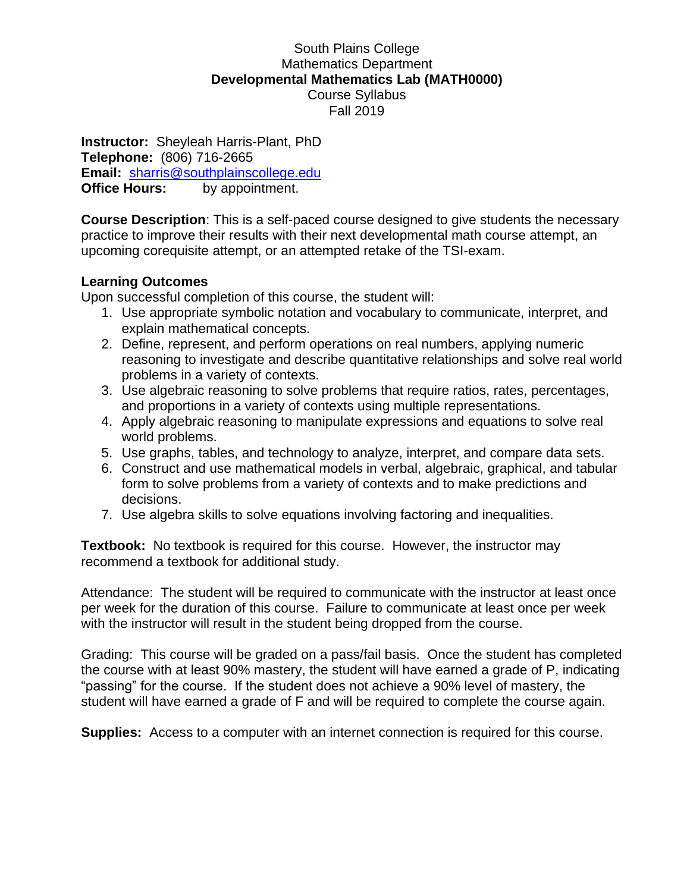## South Plains College Mathematics Department **Developmental Mathematics Lab (MATH0000)** Course Syllabus Fall 2019

**Instructor:** Sheyleah Harris-Plant, PhD **Telephone:** (806) 716-2665 **Email:** [sharris@southplainscollege.edu](mailto:sharris@southplainscollege.edu) **Office Hours:** by appointment.

**Course Description**: This is a self-paced course designed to give students the necessary practice to improve their results with their next developmental math course attempt, an upcoming corequisite attempt, or an attempted retake of the TSI-exam.

## **Learning Outcomes**

Upon successful completion of this course, the student will:

- 1. Use appropriate symbolic notation and vocabulary to communicate, interpret, and explain mathematical concepts.
- 2. Define, represent, and perform operations on real numbers, applying numeric reasoning to investigate and describe quantitative relationships and solve real world problems in a variety of contexts.
- 3. Use algebraic reasoning to solve problems that require ratios, rates, percentages, and proportions in a variety of contexts using multiple representations.
- 4. Apply algebraic reasoning to manipulate expressions and equations to solve real world problems.
- 5. Use graphs, tables, and technology to analyze, interpret, and compare data sets.
- 6. Construct and use mathematical models in verbal, algebraic, graphical, and tabular form to solve problems from a variety of contexts and to make predictions and decisions.
- 7. Use algebra skills to solve equations involving factoring and inequalities.

**Textbook:** No textbook is required for this course. However, the instructor may recommend a textbook for additional study.

Attendance: The student will be required to communicate with the instructor at least once per week for the duration of this course. Failure to communicate at least once per week with the instructor will result in the student being dropped from the course.

Grading: This course will be graded on a pass/fail basis. Once the student has completed the course with at least 90% mastery, the student will have earned a grade of P, indicating "passing" for the course. If the student does not achieve a 90% level of mastery, the student will have earned a grade of F and will be required to complete the course again.

**Supplies:** Access to a computer with an internet connection is required for this course.